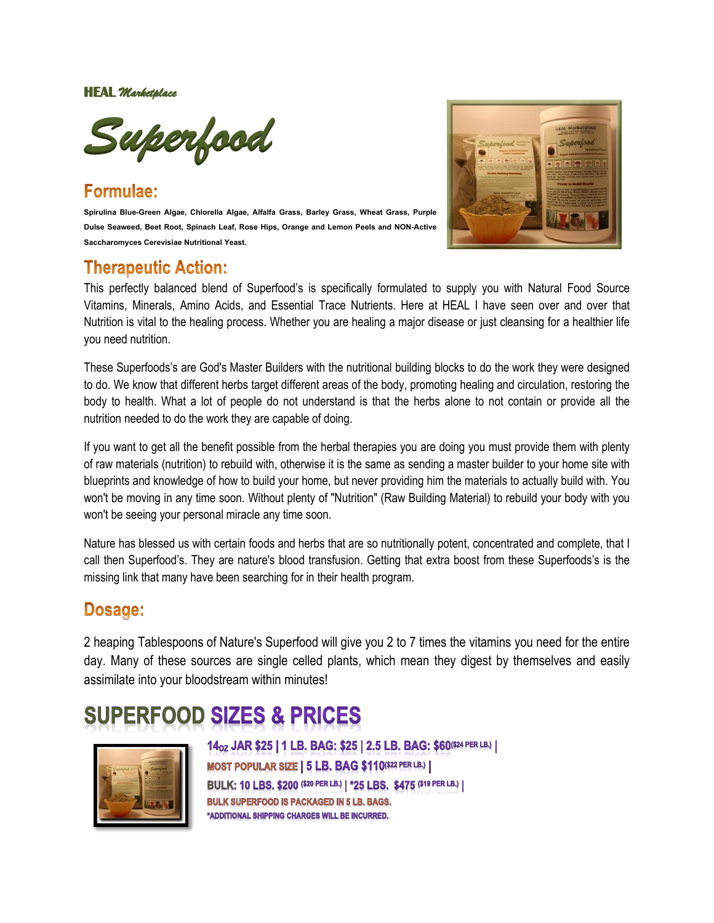**HEAL** *Marketplace* 



# Formulae:

**Spirulina Blue-Green Algae, Chlorella Algae, Alfalfa Grass, Barley Grass, Wheat Grass, Purple Dulse Seaweed, Beet Root, Spinach Leaf, Rose Hips, Orange and Lemon Peels and NON-Active Saccharomyces Cerevisiae Nutritional Yeast.**

## **Therapeutic Action:**



This perfectly balanced blend of Superfood's is specifically formulated to supply you with Natural Food Source Vitamins, Minerals, Amino Acids, and Essential Trace Nutrients. Here at HEAL I have seen over and over that Nutrition is vital to the healing process. Whether you are healing a major disease or just cleansing for a healthier life you need nutrition.

These Superfoods's are God's Master Builders with the nutritional building blocks to do the work they were designed to do. We know that different herbs target different areas of the body, promoting healing and circulation, restoring the body to health. What a lot of people do not understand is that the herbs alone to not contain or provide all the nutrition needed to do the work they are capable of doing.

If you want to get all the benefit possible from the herbal therapies you are doing you must provide them with plenty of raw materials (nutrition) to rebuild with, otherwise it is the same as sending a master builder to your home site with blueprints and knowledge of how to build your home, but never providing him the materials to actually build with. You won't be moving in any time soon. Without plenty of "Nutrition" (Raw Building Material) to rebuild your body with you won't be seeing your personal miracle any time soon.

Nature has blessed us with certain foods and herbs that are so nutritionally potent, concentrated and complete, that I call then Superfood's. They are nature's blood transfusion. Getting that extra boost from these Superfoods's is the missing link that many have been searching for in their health program.

## **Dosage:**

2 heaping Tablespoons of Nature's Superfood will give you 2 to 7 times the vitamins you need for the entire day. Many of these sources are single celled plants, which mean they digest by themselves and easily assimilate into your bloodstream within minutes!

# **ERFOOD SIZES & PRICES**



14<sub>02</sub> JAR \$25 | 1 LB. BAG: \$25 | 2.5 LB. BAG: \$60(\$24 PER LB.) | MOST POPULAR SIZE | 5 LB. BAG \$110(\$22 PER LB.) | BULK: 10 LBS. \$200 (\$20 PER LB.) | \*25 LBS. \$475 (\$19 PER LB.) | **BULK SUPERFOOD IS PACKAGED IN 5 LB. BAGS.** \*ADDITIONAL SHIPPING CHARGES WILL BE INCURRED.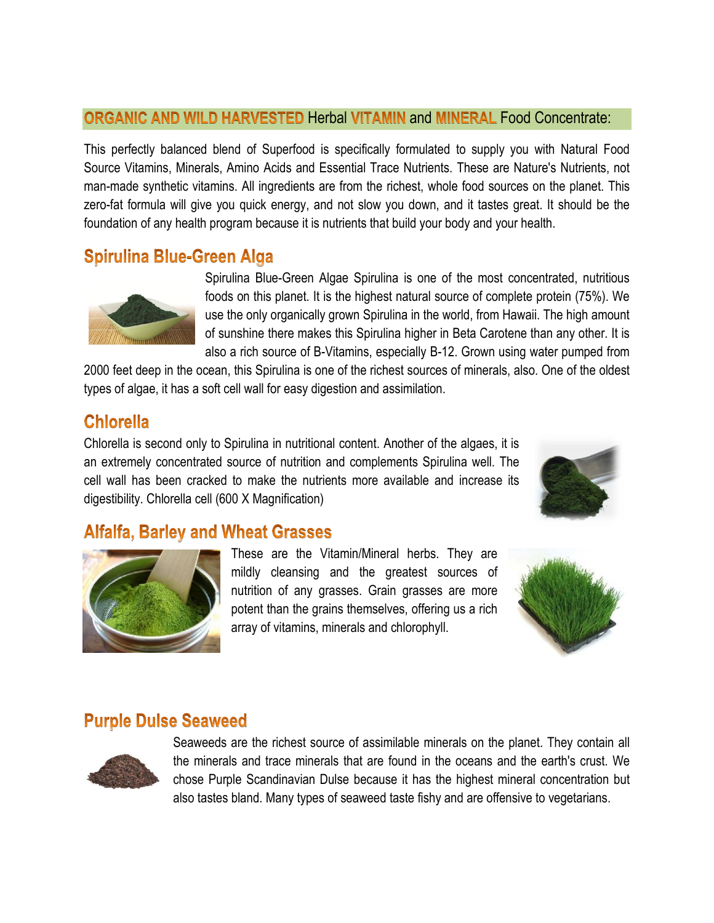#### ORGANIC AND WILD HARVESTED Herbal VITAMIN and MINERAL Food Concentrate:

This perfectly balanced blend of Superfood is specifically formulated to supply you with Natural Food Source Vitamins, Minerals, Amino Acids and Essential Trace Nutrients. These are Nature's Nutrients, not man-made synthetic vitamins. All ingredients are from the richest, whole food sources on the planet. This zero-fat formula will give you quick energy, and not slow you down, and it tastes great. It should be the foundation of any health program because it is nutrients that build your body and your health.

## **Spirulina Blue-Green Alga**



Spirulina Blue-Green Algae Spirulina is one of the most concentrated, nutritious foods on this planet. It is the highest natural source of complete protein (75%). We use the only organically grown Spirulina in the world, from Hawaii. The high amount of sunshine there makes this Spirulina higher in Beta Carotene than any other. It is also a rich source of B-Vitamins, especially B-12. Grown using water pumped from

2000 feet deep in the ocean, this Spirulina is one of the richest sources of minerals, also. One of the oldest types of algae, it has a soft cell wall for easy digestion and assimilation.

## **Chlorella**

Chlorella is second only to Spirulina in nutritional content. Another of the algaes, it is an extremely concentrated source of nutrition and complements Spirulina well. The cell wall has been cracked to make the nutrients more available and increase its digestibility. Chlorella cell (600 X Magnification)



## **Alfalfa, Barley and Wheat Grasses**



These are the Vitamin/Mineral herbs. They are mildly cleansing and the greatest sources of nutrition of any grasses. Grain grasses are more potent than the grains themselves, offering us a rich array of vitamins, minerals and chlorophyll.



#### **Purple Dulse Seaweed**



Seaweeds are the richest source of assimilable minerals on the planet. They contain all the minerals and trace minerals that are found in the oceans and the earth's crust. We chose Purple Scandinavian Dulse because it has the highest mineral concentration but also tastes bland. Many types of seaweed taste fishy and are offensive to vegetarians.